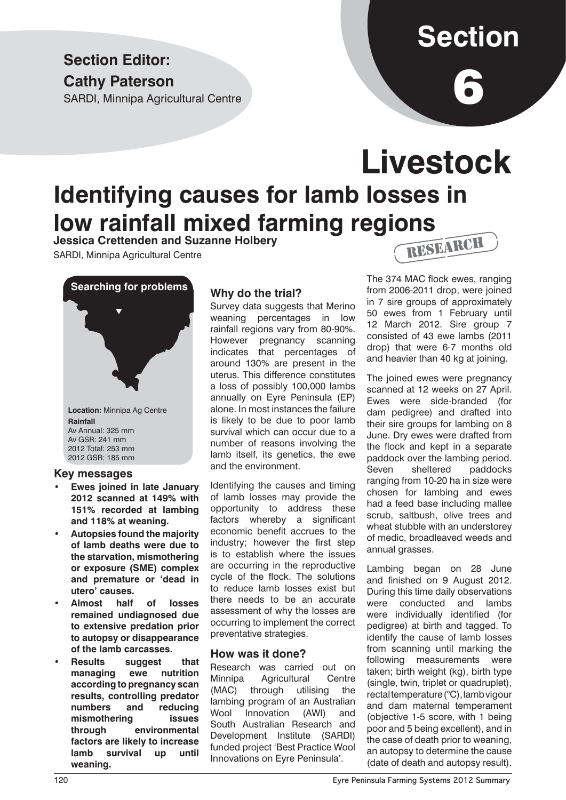### **Section Editor: Cathy Paterson**

SARDI, Minnipa Agricultural Centre

# **Section**

6

## **Livestock Identifying causes for lamb losses in low rainfall mixed farming regions**

**Jessica Crettenden and Suzanne Holbery**

SARDI, Minnipa Agricultural Centre



**Location:** Minnipa Ag Centre **Rainfall** Av Annual: 325 mm Av GSR: 241 mm 2012 Total: 253 mm 2012 GSR: 185 mm

#### **Key messages**

- **Ewes joined in late January 2012 scanned at 149% with 151% recorded at lambing and 118% at weaning.**
- **• Autopsies found the majority of lamb deaths were due to the starvation, mismothering or exposure (SME) complex and premature or 'dead in utero' causes.**
- **• Almost half of losses remained undiagnosed due to extensive predation prior to autopsy or disappearance of the lamb carcasses.**
- **Results** suggest that **managing ewe nutrition according to pregnancy scan results, controlling predator numbers and reducing mismothering issues through environmental factors are likely to increase lamb survival up until weaning.**

#### **Why do the trial?**

Survey data suggests that Merino weaning percentages in low rainfall regions vary from 80-90%. However pregnancy scanning indicates that percentages of around 130% are present in the uterus. This difference constitutes a loss of possibly 100,000 lambs annually on Eyre Peninsula (EP) alone. In most instances the failure is likely to be due to poor lamb survival which can occur due to a number of reasons involving the lamb itself, its genetics, the ewe and the environment.

Identifying the causes and timing of lamb losses may provide the opportunity to address these factors whereby a significant economic benefit accrues to the industry; however the first step is to establish where the issues are occurring in the reproductive cycle of the flock. The solutions to reduce lamb losses exist but there needs to be an accurate assessment of why the losses are occurring to implement the correct preventative strategies.

#### **How was it done?**

Research was carried out on Minnipa Agricultural Centre (MAC) through utilising the lambing program of an Australian Wool Innovation (AWI) and South Australian Research and Development Institute (SARDI) funded project 'Best Practice Wool Innovations on Eyre Peninsula'.



The 374 MAC flock ewes, ranging from 2006-2011 drop, were joined in 7 sire groups of approximately 50 ewes from 1 February until 12 March 2012. Sire group 7 consisted of 43 ewe lambs (2011 drop) that were 6-7 months old and heavier than 40 kg at joining.

The joined ewes were pregnancy scanned at 12 weeks on 27 April. Ewes were side-branded (for dam pedigree) and drafted into their sire groups for lambing on 8 June. Dry ewes were drafted from the flock and kept in a separate paddock over the lambing period. Seven sheltered paddocks ranging from 10-20 ha in size were chosen for lambing and ewes had a feed base including mallee scrub, saltbush, olive trees and wheat stubble with an understorey of medic, broadleaved weeds and annual grasses.

Lambing began on 28 June and finished on 9 August 2012. During this time daily observations were conducted and lambs were individually identified (for pedigree) at birth and tagged. To identify the cause of lamb losses from scanning until marking the following measurements were taken; birth weight (kg), birth type (single, twin, triplet or quadruplet), rectal temperature (°C), lamb vigour and dam maternal temperament (objective 1-5 score, with 1 being poor and 5 being excellent), and in the case of death prior to weaning, an autopsy to determine the cause (date of death and autopsy result).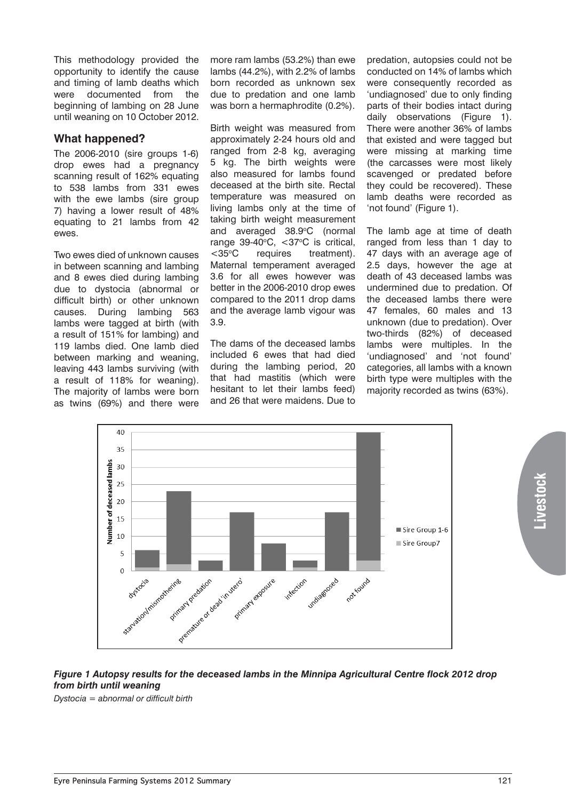This methodology provided the opportunity to identify the cause and timing of lamb deaths which were documented from the beginning of lambing on 28 June until weaning on 10 October 2012.

#### **What happened?**

The 2006-2010 (sire groups 1-6) drop ewes had a pregnancy scanning result of 162% equating to 538 lambs from 331 ewes with the ewe lambs (sire group 7) having a lower result of 48% equating to 21 lambs from 42 ewes.

Two ewes died of unknown causes in between scanning and lambing and 8 ewes died during lambing due to dystocia (abnormal or difficult birth) or other unknown causes. During lambing 563 lambs were tagged at birth (with a result of 151% for lambing) and 119 lambs died. One lamb died between marking and weaning, leaving 443 lambs surviving (with a result of 118% for weaning). The majority of lambs were born as twins (69%) and there were

more ram lambs (53.2%) than ewe lambs (44.2%), with 2.2% of lambs born recorded as unknown sex due to predation and one lamb was born a hermaphrodite (0.2%).

Birth weight was measured from approximately 2-24 hours old and ranged from 2-8 kg, averaging 5 kg. The birth weights were also measured for lambs found deceased at the birth site. Rectal temperature was measured on living lambs only at the time of taking birth weight measurement and averaged 38.9°C (normal range  $39-40^{\circ}$ C,  $\lt 37^{\circ}$ C is critical, <35°C requires treatment). Maternal temperament averaged 3.6 for all ewes however was better in the 2006-2010 drop ewes compared to the 2011 drop dams and the average lamb vigour was 3.9.

The dams of the deceased lambs included 6 ewes that had died during the lambing period, 20 that had mastitis (which were hesitant to let their lambs feed) and 26 that were maidens. Due to

predation, autopsies could not be conducted on 14% of lambs which were consequently recorded as 'undiagnosed' due to only finding parts of their bodies intact during daily observations (Figure 1). There were another 36% of lambs that existed and were tagged but were missing at marking time (the carcasses were most likely scavenged or predated before they could be recovered). These lamb deaths were recorded as 'not found' (Figure 1).

The lamb age at time of death ranged from less than 1 day to 47 days with an average age of 2.5 days, however the age at death of 43 deceased lambs was undermined due to predation. Of the deceased lambs there were 47 females, 60 males and 13 unknown (due to predation). Over two-thirds (82%) of deceased lambs were multiples. In the 'undiagnosed' and 'not found' categories, all lambs with a known birth type were multiples with the majority recorded as twins (63%).



#### *Figure 1 Autopsy results for the deceased lambs in the Minnipa Agricultural Centre flock 2012 drop from birth until weaning*

*Dystocia = abnormal or difficult birth*